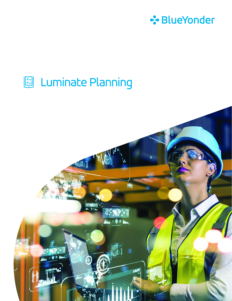

## 图 Luminate Planning

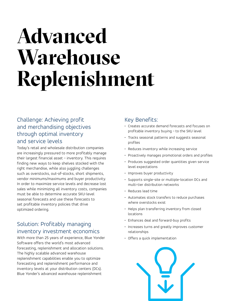# **Advanced Warehouse Replenishment**

### Challenge: Achieving profit and merchandising objectives through optimal inventory and service levels

Today's retail and wholesale distribution companies are increasingly pressured to more profitably manage their largest financial asset – inventory. This requires finding new ways to keep shelves stocked with the right merchandise, while also juggling challenges such as overstocks, out-of-stocks, short shipments, vendor minimums/maximums and buyer productivity. In order to maximize service levels and decrease lost sales while minimizing all inventory costs, companies must be able to determine accurate SKU-level seasonal forecasts and use these forecasts to set profitable inventory policies that drive optimized ordering.

### Solution: Profitably managing inventory investment economics

With more than 25 years of experience, Blue Yonder Software offers the world's most advanced forecasting, replenishment and allocation solutions. The highly scalable advanced warehouse replenishment capabilities enable you to optimize forecasting and replenishment performance and inventory levels at your distribution centers (DCs). Blue Yonder's advanced warehouse replenishment

#### Key Benefits:

- Creates accurate demand forecasts and focuses on profitable inventory buying – to the SKU level
- Tracks seasonal patterns and suggests seasonal profiles
- Reduces inventory while increasing service
- Proactively manages promotional orders and profiles
- Produces suggested order quantities given service level expectations
- Improves buyer productivity
- Supports single-site or multiple-location DCs and multi-tier distribution networks
- Reduces lead time
- Automates stock transfers to reduce purchases where overstocks exist
- Helps plan transferring inventory from closed locations
- Enhances deal and forward-buy profits
- Increases turns and greatly improves customer relationships
- Offers a quick implementation

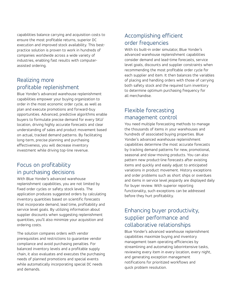capabilities balance carrying and acquisition costs to ensure the most profitable returns, superior DC execution and improved stock availability. This bestpractice solution is proven to work in hundreds of companies worldwide across a wide variety of industries, enabling fast results with computerassisted ordering.

#### Realizing more profitable replenishment

Blue Yonder's advanced warehouse replenishment capabilities empower your buying organization to order in the most economic order cycle, as well as plan and execute promotions and forward-buy opportunities. Advanced, predictive algorithms enable buyers to formulate precise demand for every SKU/ location, driving highly accurate forecasts and clear understanding of sales and product movement based on actual, tracked demand patterns. By facilitating long-term, precise planning and purchasing effectiveness, you will decrease inventory investment while driving top-line revenue.

#### Focus on profitability in purchasing decisions

With Blue Yonder's advanced warehouse replenishment capabilities, you are not limited by fixed order cycles or safety stock levels. The application produces suggested orders by calculating inventory quantities based on scientific forecasts that incorporate demand, lead time, profitability and service level goals. By utilizing information about supplier discounts when suggesting replenishment quantities, you'll also minimize your acquisition and ordering costs.

The solution compares orders with vendor prerequisites and restrictions to guarantee vendor compliance and avoid purchasing penalties. For balanced inventory levels and a profitable supply chain, it also evaluates and executes the purchasing needs of planned promotions and special events while automatically incorporating special DC needs and demands.

#### Accomplishing efficient order frequencies

With its built-in order simulator, Blue Yonder's advanced warehouse replenishment capabilities consider demand and lead-time forecasts, service level goals, discounts and supplier constraints when recommending the most profitable order cycle for each supplier and item. It then balances the variables of placing and handling orders with those of carrying both safety stock and the required turn inventory to determine optimum purchasing frequency for all merchandise.

#### Flexible forecasting management control

You need multiple forecasting methods to manage the thousands of items in your warehouses and hundreds of associated buying properties. Blue Yonder's advanced warehouse replenishment capabilities determine the most accurate forecasts by tracking demand patterns for new, promotional, seasonal and slow-moving products. You can also pattern new product-line forecasts after existing items and quickly and easily adjust to anticipated variations in product movement. History exceptions and order problems such as short ships or overdues and items in service level jeopardy are displayed daily for buyer review. With superior reporting functionality, such exceptions can be addressed before they hurt profitability.

### Enhancing buyer productivity, supplier performance and collaborative relationships

Blue Yonder's advanced warehouse replenishment capabilities maximize buying and inventory management team operating efficiencies by streamlining and automating laborintensive tasks, reviewing every item in every location, every night, and generating exception management notifications for prioritized workflows and quick problem resolution.